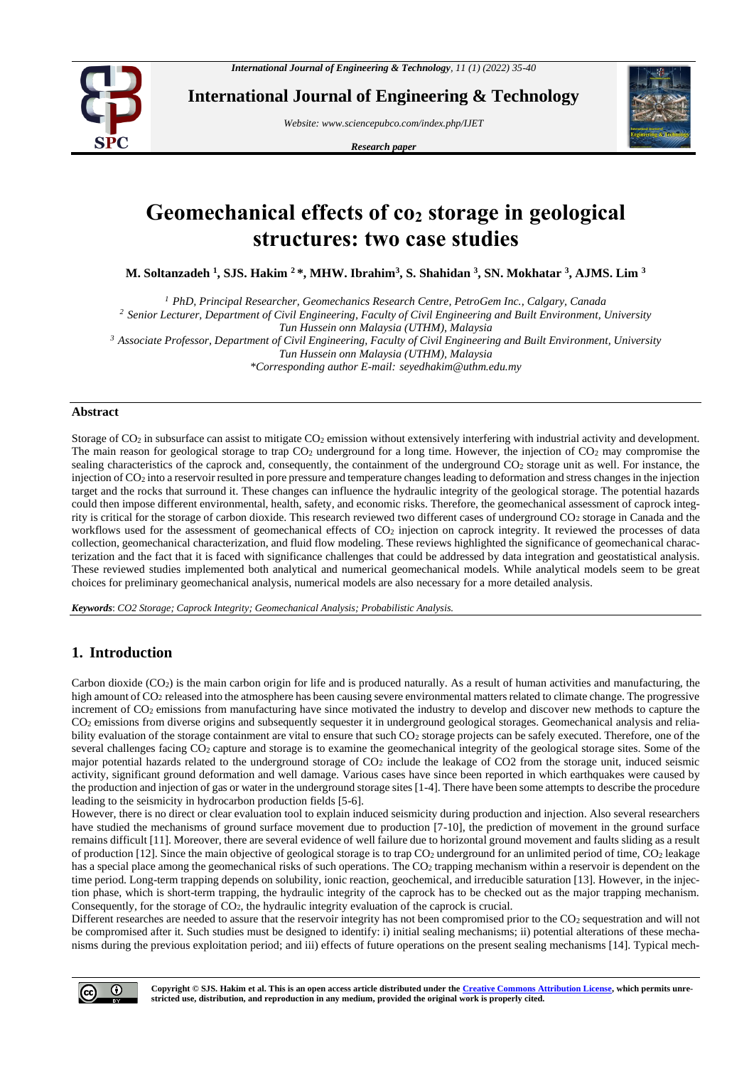

**International Journal of Engineering & Technology**

*Website: www.sciencepubco.com/index.php/IJET* 

*Research paper*



# **Geomechanical effects of co<sup>2</sup> storage in geological structures: two case studies**

**M. Soltanzadeh <sup>1</sup> , SJS. Hakim <sup>2</sup> \*, MHW. Ibrahim<sup>3</sup> , S. Shahidan <sup>3</sup> , SN. Mokhatar <sup>3</sup> , AJMS. Lim <sup>3</sup>**

*<sup>1</sup> PhD, Principal Researcher, Geomechanics Research Centre, PetroGem Inc., Calgary, Canada*

*<sup>2</sup> Senior Lecturer, Department of Civil Engineering, Faculty of Civil Engineering and Built Environment, University Tun Hussein onn Malaysia (UTHM), Malaysia* 

*<sup>3</sup> Associate Professor, Department of Civil Engineering, Faculty of Civil Engineering and Built Environment, University* 

*Tun Hussein onn Malaysia (UTHM), Malaysia* 

*\*Corresponding author E-mail: seyedhakim@uthm.edu.my*

## **Abstract**

Storage of CO<sub>2</sub> in subsurface can assist to mitigate CO<sub>2</sub> emission without extensively interfering with industrial activity and development. The main reason for geological storage to trap  $CO<sub>2</sub>$  underground for a long time. However, the injection of  $CO<sub>2</sub>$  may compromise the sealing characteristics of the caprock and, consequently, the containment of the underground  $CO<sub>2</sub>$  storage unit as well. For instance, the injection of CO<sup>2</sup> into a reservoir resulted in pore pressure and temperature changes leading to deformation and stress changes in the injection target and the rocks that surround it. These changes can influence the hydraulic integrity of the geological storage. The potential hazards could then impose different environmental, health, safety, and economic risks. Therefore, the geomechanical assessment of caprock integrity is critical for the storage of carbon dioxide. This research reviewed two different cases of underground CO<sup>2</sup> storage in Canada and the workflows used for the assessment of geomechanical effects of  $CO<sub>2</sub>$  injection on caprock integrity. It reviewed the processes of data collection, geomechanical characterization, and fluid flow modeling. These reviews highlighted the significance of geomechanical characterization and the fact that it is faced with significance challenges that could be addressed by data integration and geostatistical analysis. These reviewed studies implemented both analytical and numerical geomechanical models. While analytical models seem to be great choices for preliminary geomechanical analysis, numerical models are also necessary for a more detailed analysis.

*Keywords*: *CO2 Storage; Caprock Integrity; Geomechanical Analysis; Probabilistic Analysis.*

# **1. Introduction**

Carbon dioxide  $(CO<sub>2</sub>)$  is the main carbon origin for life and is produced naturally. As a result of human activities and manufacturing, the high amount of CO<sub>2</sub> released into the atmosphere has been causing severe environmental matters related to climate change. The progressive increment of CO<sub>2</sub> emissions from manufacturing have since motivated the industry to develop and discover new methods to capture the CO<sup>2</sup> emissions from diverse origins and subsequently sequester it in underground geological storages. Geomechanical analysis and reliability evaluation of the storage containment are vital to ensure that such CO<sub>2</sub> storage projects can be safely executed. Therefore, one of the several challenges facing CO<sub>2</sub> capture and storage is to examine the geomechanical integrity of the geological storage sites. Some of the major potential hazards related to the underground storage of CO<sup>2</sup> include the leakage of CO2 from the storage unit, induced seismic activity, significant ground deformation and well damage. Various cases have since been reported in which earthquakes were caused by the production and injection of gas or water in the underground storage sites [1-4]. There have been some attempts to describe the procedure leading to the seismicity in hydrocarbon production fields [5-6].

However, there is no direct or clear evaluation tool to explain induced seismicity during production and injection. Also several researchers have studied the mechanisms of ground surface movement due to production [7-10], the prediction of movement in the ground surface remains difficult [11]. Moreover, there are several evidence of well failure due to horizontal ground movement and faults sliding as a result of production [12]. Since the main objective of geological storage is to trap CO<sup>2</sup> underground for an unlimited period of time, CO<sup>2</sup> leakage has a special place among the geomechanical risks of such operations. The CO<sub>2</sub> trapping mechanism within a reservoir is dependent on the time period. Long-term trapping depends on solubility, ionic reaction, geochemical, and irreducible saturation [13]. However, in the injection phase, which is short-term trapping, the hydraulic integrity of the caprock has to be checked out as the major trapping mechanism. Consequently, for the storage of CO2, the hydraulic integrity evaluation of the caprock is crucial.

Different researches are needed to assure that the reservoir integrity has not been compromised prior to the CO2 sequestration and will not be compromised after it. Such studies must be designed to identify: i) initial sealing mechanisms; ii) potential alterations of these mechanisms during the previous exploitation period; and iii) effects of future operations on the present sealing mechanisms [14]. Typical mech-

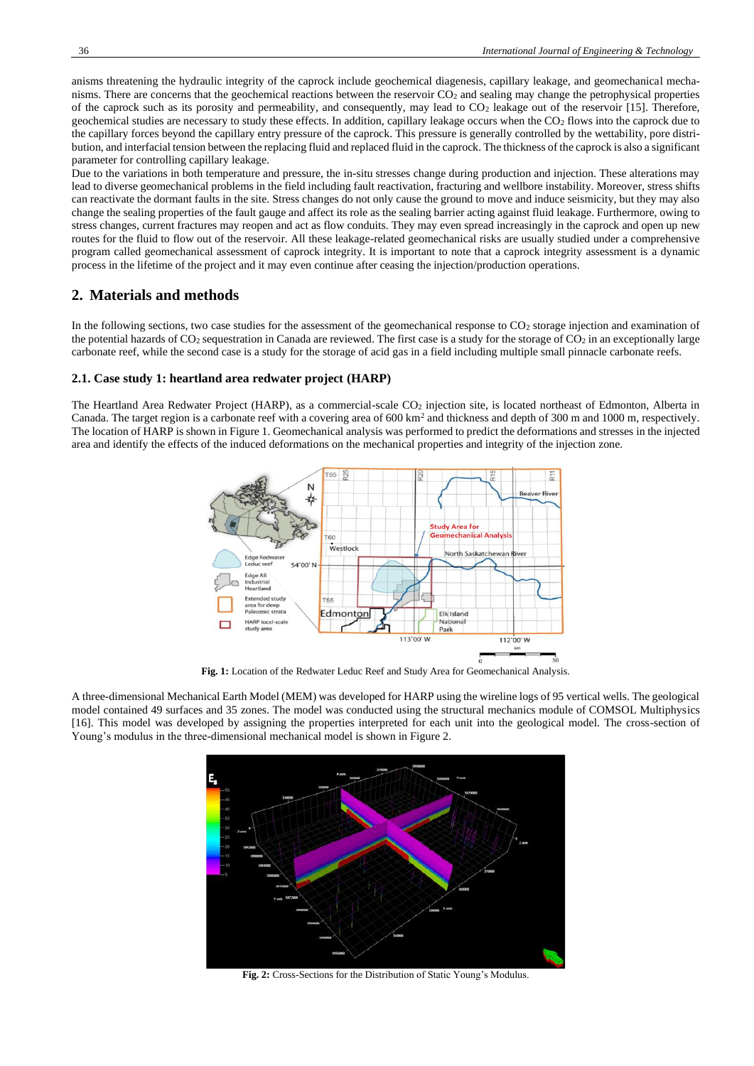anisms threatening the hydraulic integrity of the caprock include geochemical diagenesis, capillary leakage, and geomechanical mechanisms. There are concerns that the geochemical reactions between the reservoir CO<sup>2</sup> and sealing may change the petrophysical properties of the caprock such as its porosity and permeability, and consequently, may lead to CO<sup>2</sup> leakage out of the reservoir [15]. Therefore, geochemical studies are necessary to study these effects. In addition, capillary leakage occurs when the  $CO<sub>2</sub>$  flows into the caprock due to the capillary forces beyond the capillary entry pressure of the caprock. This pressure is generally controlled by the wettability, pore distribution, and interfacial tension between the replacing fluid and replaced fluid in the caprock. The thickness of the caprock is also a significant parameter for controlling capillary leakage.

Due to the variations in both temperature and pressure, the in-situ stresses change during production and injection. These alterations may lead to diverse geomechanical problems in the field including fault reactivation, fracturing and wellbore instability. Moreover, stress shifts can reactivate the dormant faults in the site. Stress changes do not only cause the ground to move and induce seismicity, but they may also change the sealing properties of the fault gauge and affect its role as the sealing barrier acting against fluid leakage. Furthermore, owing to stress changes, current fractures may reopen and act as flow conduits. They may even spread increasingly in the caprock and open up new routes for the fluid to flow out of the reservoir. All these leakage-related geomechanical risks are usually studied under a comprehensive program called geomechanical assessment of caprock integrity. It is important to note that a caprock integrity assessment is a dynamic process in the lifetime of the project and it may even continue after ceasing the injection/production operations.

## **2. Materials and methods**

In the following sections, two case studies for the assessment of the geomechanical response to CO<sub>2</sub> storage injection and examination of the potential hazards of  $CO_2$  sequestration in Canada are reviewed. The first case is a study for the storage of  $CO_2$  in an exceptionally large carbonate reef, while the second case is a study for the storage of acid gas in a field including multiple small pinnacle carbonate reefs.

#### **2.1. Case study 1: heartland area redwater project (HARP)**

The Heartland Area Redwater Project (HARP), as a commercial-scale CO<sub>2</sub> injection site, is located northeast of Edmonton, Alberta in Canada. The target region is a carbonate reef with a covering area of  $600 \text{ km}^2$  and thickness and depth of  $300 \text{ m}$  and  $1000 \text{ m}$ , respectively. The location of HARP is shown in Figure 1. Geomechanical analysis was performed to predict the deformations and stresses in the injected area and identify the effects of the induced deformations on the mechanical properties and integrity of the injection zone.



**Fig. 1:** Location of the Redwater Leduc Reef and Study Area for Geomechanical Analysis.

A three-dimensional Mechanical Earth Model (MEM) was developed for HARP using the wireline logs of 95 vertical wells. The geological model contained 49 surfaces and 35 zones. The model was conducted using the structural mechanics module of COMSOL Multiphysics [16]. This model was developed by assigning the properties interpreted for each unit into the geological model. The cross-section of Young's modulus in the three-dimensional mechanical model is shown in Figure 2.



**Fig. 2:** Cross-Sections for the Distribution of Static Young's Modulus.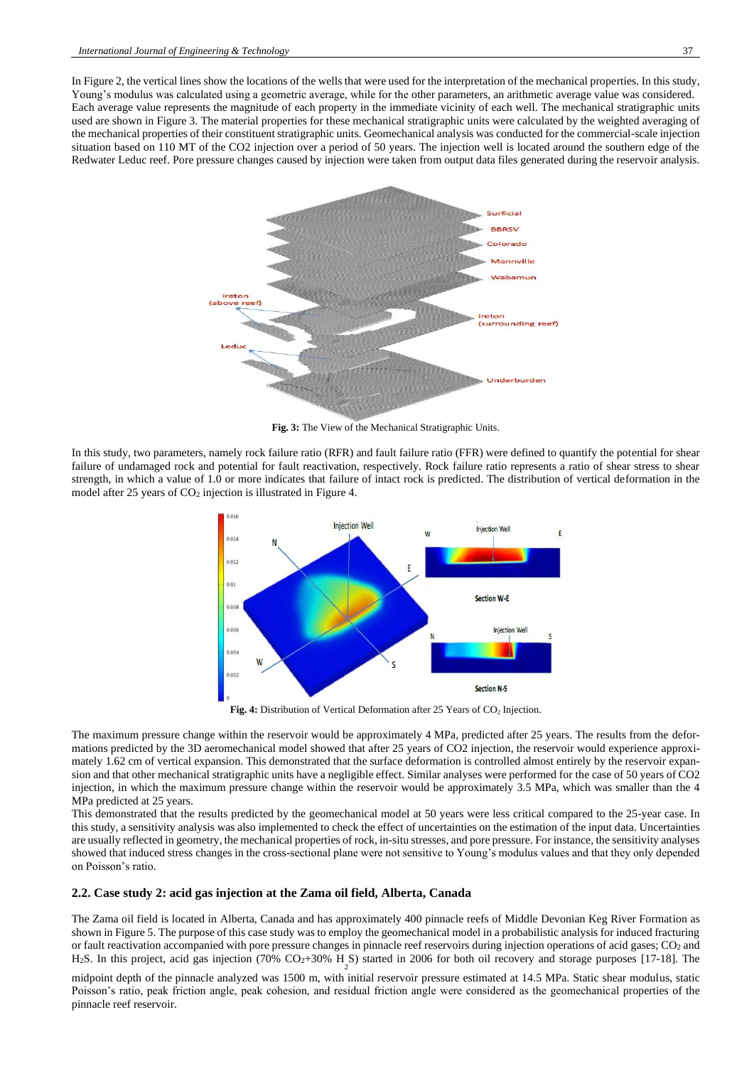In Figure 2, the vertical lines show the locations of the wells that were used for the interpretation of the mechanical properties. In this study, Young's modulus was calculated using a geometric average, while for the other parameters, an arithmetic average value was considered. Each average value represents the magnitude of each property in the immediate vicinity of each well. The mechanical stratigraphic units used are shown in Figure 3. The material properties for these mechanical stratigraphic units were calculated by the weighted averaging of the mechanical properties of their constituent stratigraphic units. Geomechanical analysis was conducted for the commercial-scale injection situation based on 110 MT of the CO2 injection over a period of 50 years. The injection well is located around the southern edge of the Redwater Leduc reef. Pore pressure changes caused by injection were taken from output data files generated during the reservoir analysis.



**Fig. 3:** The View of the Mechanical Stratigraphic Units.

In this study, two parameters, namely rock failure ratio (RFR) and fault failure ratio (FFR) were defined to quantify the potential for shear failure of undamaged rock and potential for fault reactivation, respectively. Rock failure ratio represents a ratio of shear stress to shear strength, in which a value of 1.0 or more indicates that failure of intact rock is predicted. The distribution of vertical deformation in the model after 25 years of CO<sub>2</sub> injection is illustrated in Figure 4.



Fig. 4: Distribution of Vertical Deformation after 25 Years of CO<sub>2</sub> Injection.

The maximum pressure change within the reservoir would be approximately 4 MPa, predicted after 25 years. The results from the deformations predicted by the 3D aeromechanical model showed that after 25 years of CO2 injection, the reservoir would experience approximately 1.62 cm of vertical expansion. This demonstrated that the surface deformation is controlled almost entirely by the reservoir expansion and that other mechanical stratigraphic units have a negligible effect. Similar analyses were performed for the case of 50 years of CO2 injection, in which the maximum pressure change within the reservoir would be approximately 3.5 MPa, which was smaller than the 4 MPa predicted at 25 years.

This demonstrated that the results predicted by the geomechanical model at 50 years were less critical compared to the 25-year case. In this study, a sensitivity analysis was also implemented to check the effect of uncertainties on the estimation of the input data. Uncertainties are usually reflected in geometry, the mechanical properties of rock, in-situ stresses, and pore pressure. For instance, the sensitivity analyses showed that induced stress changes in the cross-sectional plane were not sensitive to Young's modulus values and that they only depended on Poisson's ratio.

### **2.2. Case study 2: acid gas injection at the Zama oil field, Alberta, Canada**

The Zama oil field is located in Alberta, Canada and has approximately 400 pinnacle reefs of Middle Devonian Keg River Formation as shown in Figure 5. The purpose of this case study was to employ the geomechanical model in a probabilistic analysis for induced fracturing or fault reactivation accompanied with pore pressure changes in pinnacle reef reservoirs during injection operations of acid gases; CO<sup>2</sup> and H<sub>2</sub>S. In this project, acid gas injection (70% CO<sub>2</sub>+30% H<sub>2</sub>S) started in 2006 for both oil recovery and storage purposes [17-18]. The

midpoint depth of the pinnacle analyzed was 1500 m, with initial reservoir pressure estimated at 14.5 MPa. Static shear modulus, static Poisson's ratio, peak friction angle, peak cohesion, and residual friction angle were considered as the geomechanical properties of the pinnacle reef reservoir.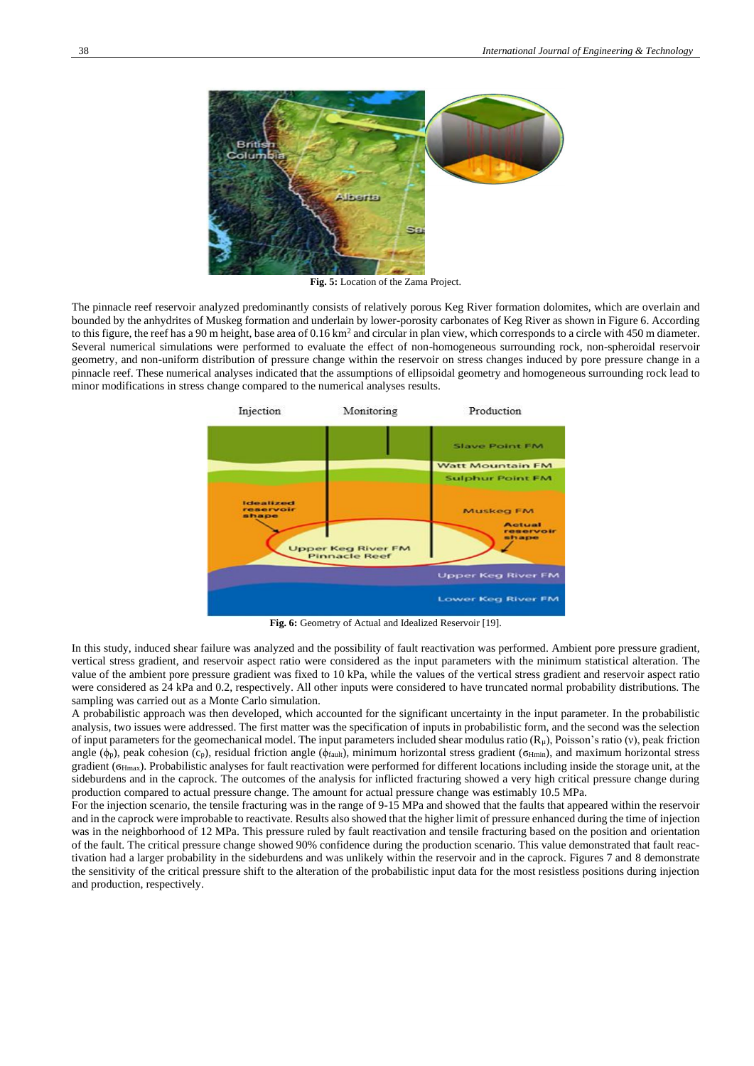

**Fig. 5:** Location of the Zama Project.

The pinnacle reef reservoir analyzed predominantly consists of relatively porous Keg River formation dolomites, which are overlain and bounded by the anhydrites of Muskeg formation and underlain by lower-porosity carbonates of Keg River as shown in Figure 6. According to this figure, the reef has a 90 m height, base area of  $0.16 \text{ km}^2$  and circular in plan view, which corresponds to a circle with 450 m diameter. Several numerical simulations were performed to evaluate the effect of non-homogeneous surrounding rock, non-spheroidal reservoir geometry, and non-uniform distribution of pressure change within the reservoir on stress changes induced by pore pressure change in a pinnacle reef. These numerical analyses indicated that the assumptions of ellipsoidal geometry and homogeneous surrounding rock lead to minor modifications in stress change compared to the numerical analyses results.



**Fig. 6:** Geometry of Actual and Idealized Reservoir [19].

In this study, induced shear failure was analyzed and the possibility of fault reactivation was performed. Ambient pore pressure gradient, vertical stress gradient, and reservoir aspect ratio were considered as the input parameters with the minimum statistical alteration. The value of the ambient pore pressure gradient was fixed to 10 kPa, while the values of the vertical stress gradient and reservoir aspect ratio were considered as 24 kPa and 0.2, respectively. All other inputs were considered to have truncated normal probability distributions. The sampling was carried out as a Monte Carlo simulation.

A probabilistic approach was then developed, which accounted for the significant uncertainty in the input parameter. In the probabilistic analysis, two issues were addressed. The first matter was the specification of inputs in probabilistic form, and the second was the selection of input parameters for the geomechanical model. The input parameters included shear modulus ratio  $(R<sub>\mu</sub>)$ , Poisson's ratio (v), peak friction angle ( $\phi_p$ ), peak cohesion (c<sub>p</sub>), residual friction angle ( $\phi_{\text{fault}}$ ), minimum horizontal stress gradient ( $\sigma_{\text{Hmin}}$ ), and maximum horizontal stress gradient (ϭHmax). Probabilistic analyses for fault reactivation were performed for different locations including inside the storage unit, at the sideburdens and in the caprock. The outcomes of the analysis for inflicted fracturing showed a very high critical pressure change during production compared to actual pressure change. The amount for actual pressure change was estimably 10.5 MPa.

For the injection scenario, the tensile fracturing was in the range of 9-15 MPa and showed that the faults that appeared within the reservoir and in the caprock were improbable to reactivate. Results also showed that the higher limit of pressure enhanced during the time of injection was in the neighborhood of 12 MPa. This pressure ruled by fault reactivation and tensile fracturing based on the position and orientation of the fault. The critical pressure change showed 90% confidence during the production scenario. This value demonstrated that fault reactivation had a larger probability in the sideburdens and was unlikely within the reservoir and in the caprock. Figures 7 and 8 demonstrate the sensitivity of the critical pressure shift to the alteration of the probabilistic input data for the most resistless positions during injection and production, respectively.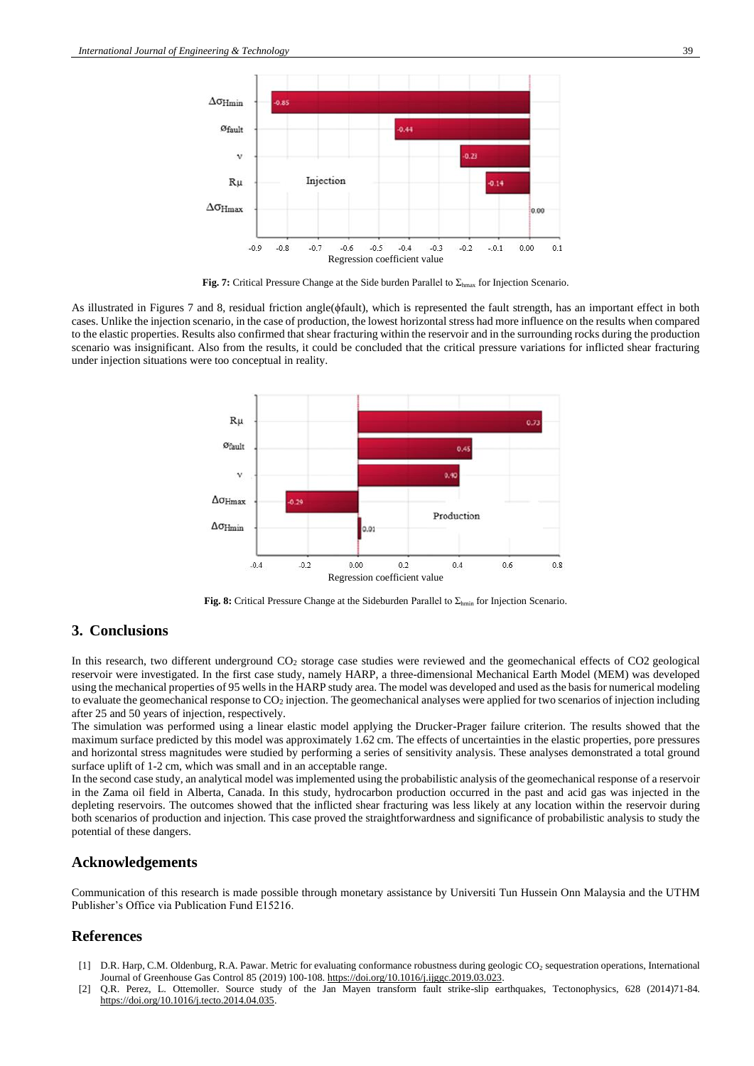

**Fig. 7:** Critical Pressure Change at the Side burden Parallel to Σhmax for Injection Scenario.

As illustrated in Figures 7 and 8, residual friction angle(ϕfault), which is represented the fault strength, has an important effect in both cases. Unlike the injection scenario, in the case of production, the lowest horizontal stress had more influence on the results when compared to the elastic properties. Results also confirmed that shear fracturing within the reservoir and in the surrounding rocks during the production scenario was insignificant. Also from the results, it could be concluded that the critical pressure variations for inflicted shear fracturing under injection situations were too conceptual in reality.



**Fig. 8:** Critical Pressure Change at the Sideburden Parallel to Σhmin for Injection Scenario.

# **3. Conclusions**

In this research, two different underground CO<sup>2</sup> storage case studies were reviewed and the geomechanical effects of CO2 geological reservoir were investigated. In the first case study, namely HARP, a three-dimensional Mechanical Earth Model (MEM) was developed using the mechanical properties of 95 wells in the HARP study area. The model was developed and used as the basis for numerical modeling to evaluate the geomechanical response to CO<sup>2</sup> injection. The geomechanical analyses were applied for two scenarios of injection including after 25 and 50 years of injection, respectively.

The simulation was performed using a linear elastic model applying the Drucker-Prager failure criterion. The results showed that the maximum surface predicted by this model was approximately 1.62 cm. The effects of uncertainties in the elastic properties, pore pressures and horizontal stress magnitudes were studied by performing a series of sensitivity analysis. These analyses demonstrated a total ground surface uplift of 1-2 cm, which was small and in an acceptable range.

In the second case study, an analytical model was implemented using the probabilistic analysis of the geomechanical response of a reservoir in the Zama oil field in Alberta, Canada. In this study, hydrocarbon production occurred in the past and acid gas was injected in the depleting reservoirs. The outcomes showed that the inflicted shear fracturing was less likely at any location within the reservoir during both scenarios of production and injection. This case proved the [straightforwardness](https://www.wordhippo.com/what-is/another-word-for/straightforwardness.html) and significance of probabilistic analysis to study the potential of these dangers.

## **Acknowledgements**

Communication of this research is made possible through monetary assistance by Universiti Tun Hussein Onn Malaysia and the UTHM Publisher's Office via Publication Fund E15216.

## **References**

- [1] D.R. Harp, C.M[. Oldenburg,](https://www.sciencedirect.com/science/article/pii/S1750583618308892#!) R.A. [Pawar.](https://www.sciencedirect.com/science/article/pii/S1750583618308892#!) Metric for evaluating conformance robustness during geologic CO<sup>2</sup> sequestration operations[, International](https://www.sciencedirect.com/science/journal/17505836)  [Journal of Greenhouse Gas Control](https://www.sciencedirect.com/science/journal/17505836) 85 (2019) 100-108[. https://doi.org/10.1016/j.ijggc.2019.03.023.](https://doi.org/10.1016/j.ijggc.2019.03.023)
- [2] Q.R. Perez, L. [Ottemoller.](https://www.sciencedirect.com/science/article/pii/S0040195114002169#!) Source study of the Jan Mayen transform fault strike-slip earthquakes, [Tectonophysics,](https://www.sciencedirect.com/science/journal/00401951) 628 (2014)71-84. [https://doi.org/10.1016/j.tecto.2014.04.035.](https://doi.org/10.1016/j.tecto.2014.04.035)